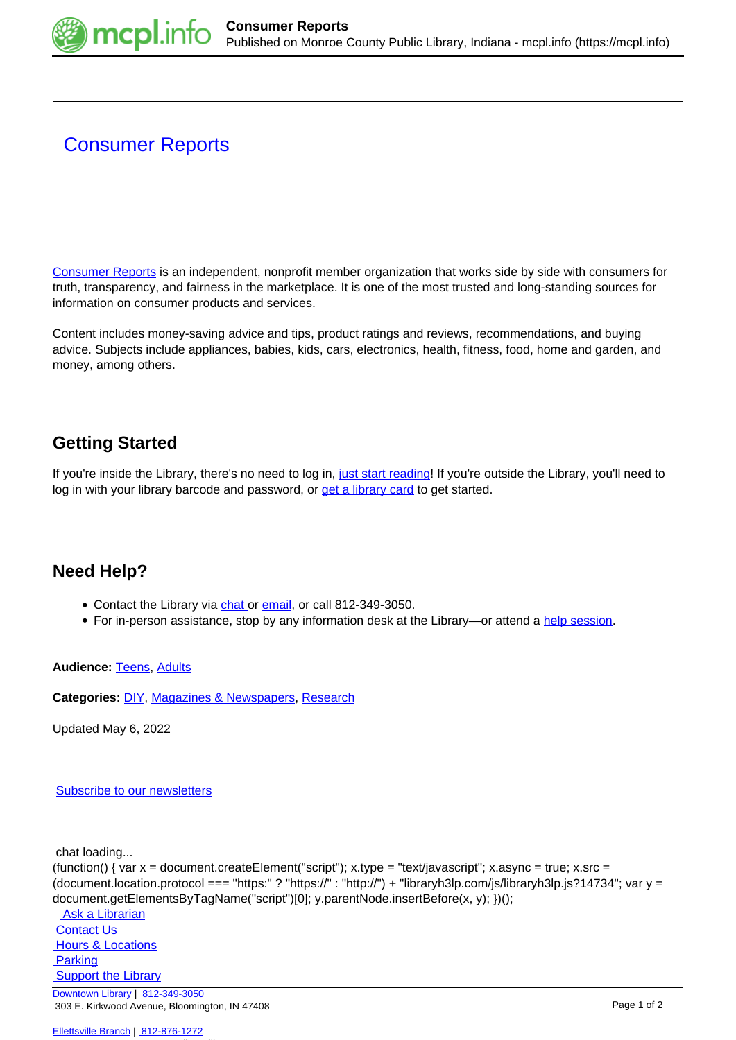

## **[Consumer Reports](https://mcpl.info/cr)**

[Consumer Reports](https://ezproxy.monroe.lib.in.us/login?qurl=https%3A%2F%2Fsearch.ebscohost.com%2Flogin.aspx%3Fauthtype%3Dip%2Ccpid%26custid%3Ds8518778%26profile%3Dcrcro) is an independent, nonprofit member organization that works side by side with consumers for truth, transparency, and fairness in the marketplace. It is one of the most trusted and long-standing sources for information on consumer products and services.

Content includes money-saving advice and tips, product ratings and reviews, recommendations, and buying advice. Subjects include appliances, babies, kids, cars, electronics, health, fitness, food, home and garden, and money, among others.

## **Getting Started**

If you're inside the Library, there's no need to log in, [just start reading](https://ezproxy.monroe.lib.in.us/login?qurl=https%3A%2F%2Fsearch.ebscohost.com%2Flogin.aspx%3Fauthtype%3Dip%2Ccpid%26custid%3Ds8518778%26profile%3Dcrcro)! If you're outside the Library, you'll need to log in with your library barcode and password, or [get a library card](https://mcpl.monroe.lib.in.us/patronaccount/selfregister.aspx) to get started.

## **Need Help?**

- Contact the Library via [chat](http://mcpl.info/chat) or [email,](http://mcpl.info/adultservices/ask-librarian-monroe-county-public-library) or call 812-349-3050.
- For in-person assistance, stop by any information desk at the Library—or attend a [help session.](https://mcpl.info/infosys/free-help-your-laptops-and-gadgets)

**Audience:** [Teens](https://mcpl.info/audience/teens), [Adults](https://mcpl.info/audience/adults)

**Categories:** [DIY,](https://mcpl.info/categories/diy) [Magazines & Newspapers,](https://mcpl.info/emagazines) [Research](https://mcpl.info/categories/research)

Updated May 6, 2022

[Subscribe to our newsletters](https://mcpl.info/geninfo/subscribe-think-library-newsletter)

chat loading...

```
(function() { var x = document.createElement("script"); x.type = "text/javascript"; x.async = true; x.src =
(document.location.protocol === "https:" ? "https://" : "http://") + "libraryh3lp.com/js/libraryh3lp.js?14734"; var y =
document.getElementsByTagName("script")[0]; y.parentNode.insertBefore(x, y); })();
```
 [Ask a Librarian](https://mcpl.info/askus)  [Contact Us](https://mcpl.info/geninfo/contact-us) **Hours & Locations Parking Support the Library** [Downtown Library](https://mcpl.info/geninfo/downtown-library) | [812-349-3050](tel:812-349-3050) 303 E. Kirkwood Avenue, Bloomington, IN 47408